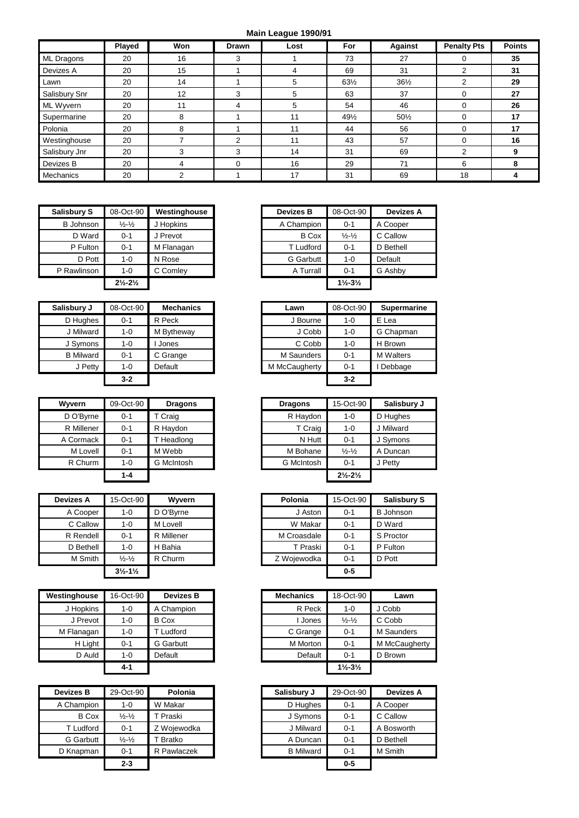## **Main League 1990/91**

|                  | Played | Won | <b>Drawn</b> | Lost | For             | <b>Against</b>  | <b>Penalty Pts</b> | <b>Points</b> |
|------------------|--------|-----|--------------|------|-----------------|-----------------|--------------------|---------------|
| ML Dragons       | 20     | 16  | 3            |      | 73              | 27              |                    | 35            |
| Devizes A        | 20     | 15  |              | 4    | 69              | 31              | ◠                  | 31            |
| Lawn             | 20     | 14  |              | 5    | $63\frac{1}{2}$ | $36\frac{1}{2}$ | ◠<br>∠             | 29            |
| Salisbury Snr    | 20     | 12  | 3            | 5    | 63              | 37              | 0                  | 27            |
| ML Wyvern        | 20     |     | 4            | 5    | 54              | 46              | 0                  | 26            |
| Supermarine      | 20     | 8   |              | 11   | 491/2           | 501/2           | 0                  | 17            |
| Polonia          | 20     | 8   |              | 11   | 44              | 56              | 0                  | 17            |
| Westinghouse     | 20     |     | 2            | 11   | 43              | 57              | $\Omega$           | 16            |
| Salisbury Jnr    | 20     |     | 3            | 14   | 31              | 69              | 2                  |               |
| Devizes B        | 20     |     | $\Omega$     | 16   | 29              | 71              | 6                  |               |
| <b>Mechanics</b> | 20     |     |              | 17   | 31              | 69              | 18                 |               |

| <b>Salisbury S</b> | 08-Oct-90                     | Westinghouse | <b>Devizes B</b> | 08-Oct-90                     | <b>Devizes A</b> |
|--------------------|-------------------------------|--------------|------------------|-------------------------------|------------------|
| <b>B</b> Johnson   | $\frac{1}{2} - \frac{1}{2}$   | J Hopkins    | A Champion       | $0 - 1$                       | A Cooper         |
| D Ward             | $0 - 1$                       | J Prevot     | <b>B</b> Cox     | $\frac{1}{2} - \frac{1}{2}$   | C Callow         |
| P Fulton           | $0 - 1$                       | M Flanagan   | T Ludford        | $0 - 1$                       | D Bethell        |
| D Pott             | 1-0                           | N Rose       | G Garbutt        | $1 - 0$                       | Default          |
| P Rawlinson        | 1-0                           | C Comley     | A Turrall        | $0 - 1$                       | G Ashby          |
|                    | $2\frac{1}{2} - 2\frac{1}{2}$ |              |                  | $1\frac{1}{2} - 3\frac{1}{2}$ |                  |

| Salisbury J      | 08-Oct-90 | <b>Mechanics</b> | Lawn          | 08-Oct-90 | <b>Superma</b>   |
|------------------|-----------|------------------|---------------|-----------|------------------|
| D Hughes         | $0 - 1$   | R Peck           | J Bourne      | $1 - 0$   | E Lea            |
| J Milward        | 1-0       | M Bytheway       | J Cobb        | $1 - 0$   | G Chapma         |
| J Symons         | $1 - 0$   | Jones            | C Cobb        | $1 - 0$   | H Brown          |
| <b>B</b> Milward | $0 - 1$   | C Grange         | M Saunders    | $0 - 1$   | <b>M</b> Walters |
| J Petty          | $1 - 0$   | Default          | M McCaugherty | $0 - 1$   | Debbage          |
|                  | $3-2$     |                  |               | $3-2$     |                  |

| <b>Wyvern</b> | 09-Oct-90 | <b>Dragons</b>    | <b>Dragons</b>    | 15-Oct-90                     | Salisbu   |
|---------------|-----------|-------------------|-------------------|-------------------------------|-----------|
| D O'Byrne     | $0 - 1$   | T Craig           | R Haydon          | $1 - 0$                       | D Hughes  |
| R Millener    | $0 - 1$   | R Haydon          | T Craig           | $1 - 0$                       | J Milward |
| A Cormack     | $0 - 1$   | T Headlong        | N Hutt            | $0 - 1$                       | J Symons  |
| M Lovell      | $0 - 1$   | M Webb            | M Bohane          | $\frac{1}{2} - \frac{1}{2}$   | A Duncan  |
| R Churm       | $1 - 0$   | <b>G</b> McIntosh | <b>G</b> McIntosh | $0 - 1$                       | J Petty   |
|               | $1 - 4$   |                   |                   | $2\frac{1}{2} - 2\frac{1}{2}$ |           |

| Devizes A | 15-Oct-90                     | Wyvern     | Polonia     | 15-Oct-90 | <b>Salisby</b>  |
|-----------|-------------------------------|------------|-------------|-----------|-----------------|
| A Cooper  | 1-0                           | D O'Byrne  | J Aston     | $0 - 1$   | <b>B</b> Johnso |
| C Callow  | 1-0                           | M Lovell   | W Makar     | $0 - 1$   | D Ward          |
| R Rendell | $0 - 1$                       | R Millener | M Croasdale | $0 - 1$   | S Proctor       |
| D Bethell | $1 - 0$                       | H Bahia    | T Praski    | $0 - 1$   | P Fulton        |
| M Smith   | $\frac{1}{2} - \frac{1}{2}$   | R Churm    | Z Wojewodka | $0 - 1$   | D Pott          |
|           | $3\frac{1}{2} - 1\frac{1}{2}$ |            |             | $0-5$     |                 |

| Westinghouse | 16-Oct-90 | <b>Devizes B</b> | <b>Mechanics</b> | 18-Oct-90                     |
|--------------|-----------|------------------|------------------|-------------------------------|
| J Hopkins    | 1-0       | A Champion       | R Peck           | $1 - 0$                       |
| J Prevot     | 1-0       | <b>B</b> Cox     | I Jones          | $\frac{1}{2} - \frac{1}{2}$   |
| M Flanagan   | 1-0       | Ludford          | C Grange         | $0 - 1$                       |
| H Light      | $0 - 1$   | <b>G</b> Garbutt | M Morton         | $0 - 1$                       |
| D Auld       | $1 - 0$   | Default          | Default          | $0 - 1$                       |
|              | 4-1       |                  |                  | $1\frac{1}{2} - 3\frac{1}{2}$ |

| Devizes B    | 29-Oct-90                     | Polonia     | Salisbury J      | 29-Oct-90 | Devize    |
|--------------|-------------------------------|-------------|------------------|-----------|-----------|
| A Champion   | 1-0                           | W Makar     | D Hughes         | $0 - 1$   | A Cooper  |
| <b>B</b> Cox | $\frac{1}{2}$ - $\frac{1}{2}$ | T Praski    | J Symons         | $0 - 1$   | C Callow  |
| T Ludford    | $0 - 1$                       | Z Woiewodka | J Milward        | $0 - 1$   | A Boswor  |
| G Garbutt    | $\frac{1}{2} - \frac{1}{2}$   | T Bratko    | A Duncan         | $0 - 1$   | D Bethell |
| D Knapman    | $0 - 1$                       | R Pawlaczek | <b>B</b> Milward | $0 - 1$   | M Smith   |
|              | $2 - 3$                       |             |                  | $0 - 5$   |           |

| bury S   | 08-Oct-90                     | Westinghouse | <b>Devizes B</b> | 08-Oct-90                     | <b>Devizes A</b> |
|----------|-------------------------------|--------------|------------------|-------------------------------|------------------|
| Johnson  | $\frac{1}{2} - \frac{1}{2}$   | J Hopkins    | A Champion       | $0 - 1$                       | A Cooper         |
| D Ward   | $0 - 1$                       | J Prevot     | <b>B</b> Cox     | $\frac{1}{2} - \frac{1}{2}$   | C Callow         |
| P Fulton | $0 - 1$                       | M Flanagan   | T Ludford        | $0 - 1$                       | D Bethell        |
| D Pott   | 1-0                           | N Rose       | G Garbutt        | $1 - 0$                       | Default          |
| awlinson | $1 - 0$                       | C Comley     | A Turrall        | $0 - 1$                       | G Ashby          |
|          | $2\frac{1}{2} - 2\frac{1}{2}$ |              |                  | $1\frac{1}{2} - 3\frac{1}{2}$ |                  |

| Salisbury J      | 08-Oct-90 | <b>Mechanics</b> | Lawn          | 08-Oct-90 | <b>Supermarine</b> |
|------------------|-----------|------------------|---------------|-----------|--------------------|
| D Hughes         | $0 - 1$   | R Peck           | J Bourne      | $1 - 0$   | E Lea              |
| J Milward        | $1 - 0$   | M Bytheway       | J Cobb        | $1 - 0$   | G Chapman          |
| J Symons         | 1-0       | Jones            | C Cobb        | $1 - 0$   | H Brown            |
| <b>B</b> Milward | $0 - 1$   | C Grange         | M Saunders    | $0 - 1$   | <b>M</b> Walters   |
| J Petty          | $1 - 0$   | Default          | M McCaugherty | $0 - 1$   | Debbage            |
|                  | $3 - 2$   |                  |               | $3 - 2$   |                    |

| Wvvern     | 09-Oct-90 | <b>Dragons</b> | <b>Dragons</b> | 15-Oct-90                     | Salisbury J |
|------------|-----------|----------------|----------------|-------------------------------|-------------|
| D O'Byrne  | $0 - 1$   | T Craig        | R Haydon       | $1 - 0$                       | D Hughes    |
| R Millener | $0 - 1$   | R Haydon       | T Craig        | $1 - 0$                       | J Milward   |
| A Cormack  | $0 - 1$   | T Headlong     | N Hutt         | $0 - 1$                       | J Symons    |
| M Lovell   | $0 - 1$   | M Webb         | M Bohane       | $\frac{1}{2} - \frac{1}{2}$   | A Duncan    |
| R Churm    | $1 - 0$   | G McIntosh     | G McIntosh     | $0 - 1$                       | J Petty     |
|            | $1 - 4$   |                |                | $2\frac{1}{2} - 2\frac{1}{2}$ |             |

| Devizes A | 15-Oct-90                     | Wyvern     | Polonia     | 15-Oct-90 | <b>Salisbury S</b> |
|-----------|-------------------------------|------------|-------------|-----------|--------------------|
| A Cooper  | 1-0                           | D O'Byrne  | J Aston     | $0 - 1$   | <b>B</b> Johnson   |
| C Callow  | 1-0                           | M Lovell   | W Makar     | $0 - 1$   | D Ward             |
| R Rendell | $0 - 1$                       | R Millener | M Croasdale | $0 - 1$   | S Proctor          |
| D Bethell | 1-0                           | H Bahia    | T Praski    | $0 - 1$   | P Fulton           |
| M Smith   | $\frac{1}{2} - \frac{1}{2}$   | R Churm    | Z Wojewodka | $0 - 1$   | D Pott             |
|           | $3\frac{1}{2} - 1\frac{1}{2}$ |            |             | $0 - 5$   |                    |

| house   | 16-Oct-90 | <b>Devizes B</b> | <b>Mechanics</b> | 18-Oct-90                     | Lawn              |
|---------|-----------|------------------|------------------|-------------------------------|-------------------|
| lopkins | $1 - 0$   | A Champion       | R Peck           | $1 - 0$                       | J Cobb            |
| Prevot  | $1 - 0$   | <b>B</b> Cox     | Jones            | $\frac{1}{2} - \frac{1}{2}$   | C Cobb            |
| anagan  | $1 - 0$   | T Ludford        | C Grange         | $0 - 1$                       | <b>M</b> Saunders |
| H Light | $0 - 1$   | <b>G</b> Garbutt | M Morton         | $0 - 1$                       | M McCaugherty     |
| D Auld  | $1 - 0$   | Default          | Default          | $0 - 1$                       | D Brown           |
|         | $4 - 1$   |                  |                  | $1\frac{1}{2} - 3\frac{1}{2}$ |                   |

| Devizes B    | 29-Oct-90                   | Polonia     | Salisbury J      | 29-Oct-90 | <b>Devizes A</b> |
|--------------|-----------------------------|-------------|------------------|-----------|------------------|
| A Champion   | 1-0                         | W Makar     | D Hughes         | $0 - 1$   | A Cooper         |
| <b>B</b> Cox | $\frac{1}{2} - \frac{1}{2}$ | Praski      | J Symons         | $0 - 1$   | C Callow         |
| T Ludford    | $0 - 1$                     | Z Wojewodka | J Milward        | $0 - 1$   | A Bosworth       |
| G Garbutt    | $\frac{1}{2} - \frac{1}{2}$ | Bratko      | A Duncan         | $0 - 1$   | D Bethell        |
| D Knapman    | $0 - 1$                     | R Pawlaczek | <b>B</b> Milward | $0 - 1$   | M Smith          |
|              | $2 - 3$                     |             |                  | $0 - 5$   |                  |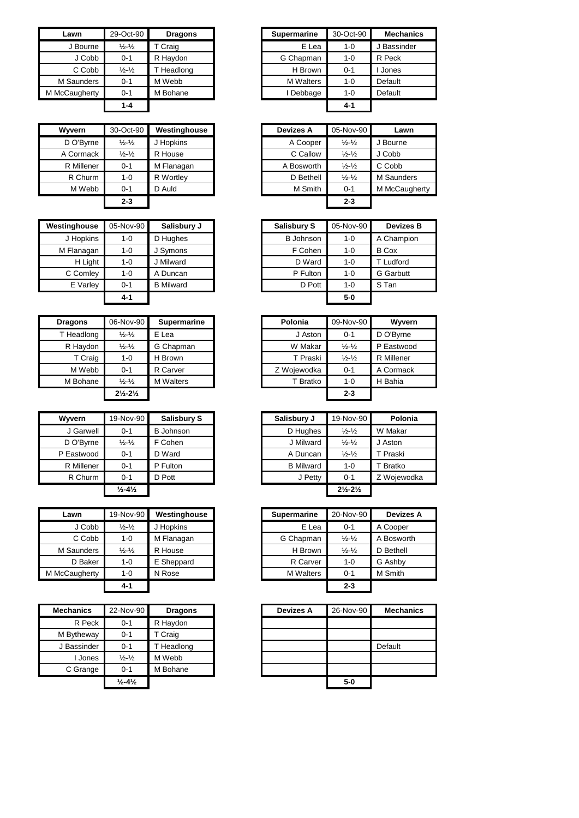| Lawn          | 29-Oct-90                   | <b>Dragons</b> | <b>Supermarine</b> | 30-Oct-90 |  |
|---------------|-----------------------------|----------------|--------------------|-----------|--|
| J Bourne      | $\frac{1}{2} - \frac{1}{2}$ | T Craig        | E Lea              | $1 - 0$   |  |
| J Cobb        | $0 - 1$                     | R Haydon       | G Chapman          | $1 - 0$   |  |
| C Cobb        | $\frac{1}{2} - \frac{1}{2}$ | T Headlong     | H Brown            | $0 - 1$   |  |
| M Saunders    | $0 - 1$                     | M Webb         | <b>M</b> Walters   | $1 - 0$   |  |
| M McCaugherty | $0 - 1$                     | M Bohane       | I Debbage          | $1 - 0$   |  |
|               | $1 - 4$                     |                |                    | $4 - 1$   |  |

| <b>Wyvern</b> | 30-Oct-90                   | Westinghouse | <b>Devizes A</b> | 05-Nov-90                   |           |
|---------------|-----------------------------|--------------|------------------|-----------------------------|-----------|
| D O'Byrne     | $\frac{1}{2} - \frac{1}{2}$ | J Hopkins    | A Cooper         | $\frac{1}{2} - \frac{1}{2}$ | J Bourne  |
| A Cormack     | $\frac{1}{2} - \frac{1}{2}$ | R House      | C Callow         | $\frac{1}{2} - \frac{1}{2}$ | J Cobb    |
| R Millener    | $0 - 1$                     | M Flanagan   | A Bosworth       | $\frac{1}{2} - \frac{1}{2}$ | C Cobb    |
| R Churm       | $1 - 0$                     | R Wortley    | D Bethell        | $\frac{1}{2} - \frac{1}{2}$ | M Saunder |
| M Webb        | $0 - 1$                     | D Auld       | M Smith          | $0 - 1$                     | M McCaug  |
|               | $2 - 3$                     |              |                  | $2 - 3$                     |           |

| Westinghouse | 05-Nov-90 | Salisbury J      | <b>Salisbury S</b> | 05-Nov-90 | <b>Devizes B</b> |
|--------------|-----------|------------------|--------------------|-----------|------------------|
| J Hopkins    | $1 - 0$   | D Hughes         | <b>B</b> Johnson   | $1 - 0$   | A Champion       |
| M Flanagan   | 1-0       | J Symons         | F Cohen            | $1 - 0$   | <b>B</b> Cox     |
| H Light      | 1-0       | J Milward        | D Ward             | $1 - 0$   | Ludford          |
| C Comley     | 1-0       | A Duncan         | P Fulton           | $1 - 0$   | <b>G</b> Garbutt |
| E Varley     | $0 - 1$   | <b>B</b> Milward | D Pott             | $1 - 0$   | S Tan            |
|              | 4-1       |                  |                    | $5-0$     |                  |

| <b>Dragons</b> | 06-Nov-90                     | <b>Supermarine</b> | Polonia     |          | 09-Nov-90                   |
|----------------|-------------------------------|--------------------|-------------|----------|-----------------------------|
| T Headlong     | $\frac{1}{2} - \frac{1}{2}$   | E Lea              |             | J Aston  | $0 - 1$                     |
| R Haydon       | $\frac{1}{2} - \frac{1}{2}$   | G Chapman          |             | W Makar  | $\frac{1}{2} - \frac{1}{2}$ |
| T Craig        | $1 - 0$                       | H Brown            |             | T Praski | $\frac{1}{2} - \frac{1}{2}$ |
| M Webb         | $0 - 1$                       | R Carver           | Z Wojewodka |          | $0 - 1$                     |
| M Bohane       | $\frac{1}{2} - \frac{1}{2}$   | <b>M</b> Walters   |             | T Bratko | $1 - 0$                     |
|                | $2\frac{1}{2} - 2\frac{1}{2}$ |                    |             |          | $2 - 3$                     |

| Wyvern     | 19-Nov-90                    | <b>Salisbury S</b> | Salisbury J      | 19-Nov-90                     | Polo     |
|------------|------------------------------|--------------------|------------------|-------------------------------|----------|
| J Garwell  | $0 - 1$                      | <b>B</b> Johnson   | D Hughes         | $\frac{1}{2} - \frac{1}{2}$   | W Makar  |
| D O'Byrne  | $\frac{1}{2} - \frac{1}{2}$  | F Cohen            | J Milward        | $\frac{1}{2} - \frac{1}{2}$   | J Aston  |
| P Eastwood | $0 - 1$                      | D Ward             | A Duncan         | $\frac{1}{2} - \frac{1}{2}$   | T Praski |
| R Millener | $0 - 1$                      | P Fulton           | <b>B</b> Milward | $1 - 0$                       | T Bratko |
| R Churm    | $0 - 1$                      | D Pott             | J Petty          | $0 - 1$                       | Z Wojew  |
|            | $\frac{1}{2} - 4\frac{1}{2}$ |                    |                  | $2\frac{1}{2} - 2\frac{1}{2}$ |          |

| Lawn          | 19-Nov-90                   | Westinghouse | <b>Supermarine</b> | 20-Nov-90                   | Deviz     |
|---------------|-----------------------------|--------------|--------------------|-----------------------------|-----------|
| J Cobb        | $\frac{1}{2} - \frac{1}{2}$ | J Hopkins    | E Lea              | $0 - 1$                     | A Coope   |
| C Cobb        | $1 - 0$                     | M Flanagan   | G Chapman          | $\frac{1}{2} - \frac{1}{2}$ | A Boswo   |
| M Saunders    | $\frac{1}{2} - \frac{1}{2}$ | R House      | H Brown            | $\frac{1}{2} - \frac{1}{2}$ | D Bethell |
| D Baker       | $1 - 0$                     | E Sheppard   | R Carver           | $1 - 0$                     | G Ashby   |
| M McCaugherty | $1 - 0$                     | N Rose       | <b>M</b> Walters   | $0 - 1$                     | M Smith   |
|               | 4-1                         |              |                    | $2 - 3$                     |           |

| <b>Mechanics</b> | 22-Nov-90                    | <b>Dragons</b> |
|------------------|------------------------------|----------------|
| R Peck           | $0 - 1$                      | R Haydon       |
| M Bytheway       | $0 - 1$                      | T Craig        |
| J Bassinder      | $0 - 1$                      | T Headlong     |
| <b>Jones</b>     | $\frac{1}{2} - \frac{1}{2}$  | M Webb         |
| C Grange         | $0 - 1$                      | M Bohane       |
|                  | $\frac{1}{2} - 4\frac{1}{2}$ |                |

| <b>Supermarine</b> | 30-Oct-90 | <b>Mechanics</b> |
|--------------------|-----------|------------------|
| E Lea              | $1 - 0$   | J Bassinder      |
| G Chapman          | $1 - 0$   | R Peck           |
| H Brown            | $0 - 1$   | Jones            |
| <b>M</b> Walters   | $1 - 0$   | Default          |
| I Debbage          | $1 - 0$   | Default          |
|                    | 4-1       |                  |
|                    |           |                  |

| rvern.     | 30-Oct-90                   | Westinghouse | <b>Devizes A</b> | 05-Nov-90                   | Lawn              |
|------------|-----------------------------|--------------|------------------|-----------------------------|-------------------|
| O'Byrne    | $\frac{1}{2} - \frac{1}{2}$ | J Hopkins    | A Cooper         | $\frac{1}{2} - \frac{1}{2}$ | J Bourne          |
| Cormack    | $\frac{1}{2} - \frac{1}{2}$ | R House      | C Callow         | $\frac{1}{2} - \frac{1}{2}$ | J Cobb            |
| र Millener | $0 - 1$                     | M Flanagan   | A Bosworth       | $\frac{1}{2} - \frac{1}{2}$ | C Cobb            |
| R Churm    | 1-0                         | R Wortley    | D Bethell        | $\frac{1}{2} - \frac{1}{2}$ | <b>M</b> Saunders |
| M Webb     | $0 - 1$                     | D Auld       | M Smith          | $0 - 1$                     | M McCaugherty     |
|            | $2 - 3$                     |              |                  | $2 - 3$                     |                   |
|            |                             |              |                  |                             |                   |

| inghouse  | 05-Nov-90 | Salisbury J      | <b>Salisbury S</b> | 05-Nov-90 | <b>Devizes B</b> |
|-----------|-----------|------------------|--------------------|-----------|------------------|
| J Hopkins | 1-0       | D Hughes         | <b>B</b> Johnson   | $1 - 0$   | A Champion       |
| Flanagan  | $1 - 0$   | J Symons         | F Cohen            | $1 - 0$   | <b>B</b> Cox     |
| H Light   | $1 - 0$   | J Milward        | D Ward             | $1 - 0$   | T Ludford        |
| C Comley  | 1-0       | A Duncan         | P Fulton           | $1 - 0$   | <b>G</b> Garbutt |
| E Varley  | $0 - 1$   | <b>B</b> Milward | D Pott             | $1 - 0$   | S Tan            |
|           | $4 - 1$   |                  |                    | $5-0$     |                  |

| agons    | 06-Nov-90                     | <b>Supermarine</b> |
|----------|-------------------------------|--------------------|
| Headlong | $\frac{1}{2} - \frac{1}{2}$   | E Lea              |
| R Haydon | $\frac{1}{2} - \frac{1}{2}$   | G Chapman          |
| T Craig  | $1 - 0$                       | H Brown            |
| M Webb   | $0 - 1$                       | R Carver           |
| M Bohane | $\frac{1}{2} - \frac{1}{2}$   | <b>M</b> Walters   |
|          | $2\frac{1}{2} - 2\frac{1}{2}$ |                    |

| Wvvern     | 19-Nov-90                    | Salisbury S      |
|------------|------------------------------|------------------|
| J Garwell  | $0 - 1$                      | <b>B</b> Johnson |
| D O'Byrne  | $\frac{1}{2} - \frac{1}{2}$  | F Cohen          |
| P Eastwood | $0 - 1$                      | D Ward           |
| R Millener | $0 - 1$                      | P Fulton         |
| R Churm    | $0 - 1$                      | D Pott           |
|            | $\frac{1}{2} - 4\frac{1}{2}$ |                  |

| Lawn       | 19-Nov-90                   | Westinghouse | <b>Supermarine</b> | 20-Nov-90                   | Devizes A  |
|------------|-----------------------------|--------------|--------------------|-----------------------------|------------|
| J Cobb     | $\frac{1}{2} - \frac{1}{2}$ | J Hopkins    | E Lea              | $0 - 1$                     | A Cooper   |
| C Cobb     | $1 - 0$                     | M Flanagan   | G Chapman          | $\frac{1}{2} - \frac{1}{2}$ | A Bosworth |
| Saunders   | $\frac{1}{2} - \frac{1}{2}$ | R House      | H Brown            | $\frac{1}{2} - \frac{1}{2}$ | D Bethell  |
| D Baker    | $1 - 0$                     | E Sheppard   | R Carver           | $1 - 0$                     | G Ashby    |
| :Caugherty | 1-0                         | N Rose       | <b>M</b> Walters   | $0 - 1$                     | M Smith    |
|            | $4 - 1$                     |              |                    | $2 - 3$                     |            |

| Devizes A | 26-Nov-90 | <b>Mechanics</b> |
|-----------|-----------|------------------|
|           |           |                  |
|           |           |                  |
|           |           | Default          |
|           |           |                  |
|           |           |                  |
|           | $5 - 0$   |                  |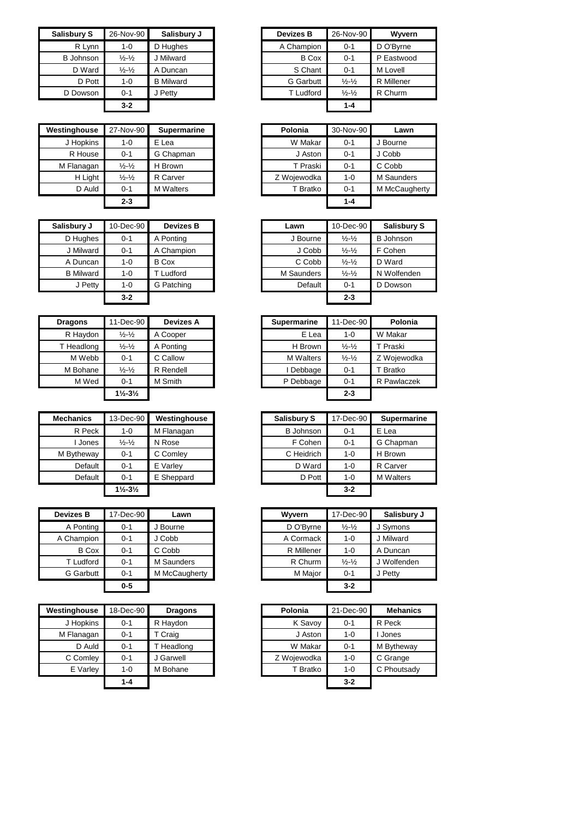| <b>Salisbury S</b> | 26-Nov-90                     | Salisbury J      | <b>Devizes B</b> | 26-Nov-90                   |
|--------------------|-------------------------------|------------------|------------------|-----------------------------|
| R Lynn             | $1 - 0$                       | D Hughes         | A Champion       | $0 - 1$                     |
| <b>B</b> Johnson   | $\frac{1}{2} - \frac{1}{2}$   | J Milward        | <b>B</b> Cox     | $0 - 1$                     |
| D Ward             | $\frac{1}{2}$ - $\frac{1}{2}$ | A Duncan         | S Chant          | $0 - 1$                     |
| D Pott             | $1 - 0$                       | <b>B</b> Milward | <b>G</b> Garbutt | $\frac{1}{2} - \frac{1}{2}$ |
| D Dowson           | $0 - 1$                       | J Petty          | T Ludford        | $\frac{1}{2} - \frac{1}{2}$ |
|                    | $3 - 2$                       |                  |                  | $1 - 4$                     |

| Westinghouse | 27-Nov-90                   | <b>Supermarine</b> | Polonia     | 30-Nov-90 |
|--------------|-----------------------------|--------------------|-------------|-----------|
| J Hopkins    | $1 - 0$                     | E Lea              | W Makar     | $0 - 1$   |
| R House      | $0 - 1$                     | G Chapman          | J Aston     | $0 - 1$   |
| M Flanagan   | $\frac{1}{2} - \frac{1}{2}$ | H Brown            | T Praski    | $0 - 1$   |
| H Light      | $\frac{1}{2} - \frac{1}{2}$ | R Carver           | Z Wojewodka | $1 - 0$   |
| D Auld       | $0 - 1$                     | <b>M</b> Walters   | T Bratko    | $0 - 1$   |
|              | $2 - 3$                     |                    |             | $1 - 4$   |

|         | <b>Devizes B</b> |           | Lawn              | 10-Dec-90                   | <b>Salish</b> |
|---------|------------------|-----------|-------------------|-----------------------------|---------------|
| $0 - 1$ | A Ponting        |           | J Bourne          | $\frac{1}{2} - \frac{1}{2}$ | B Johns       |
| $0 - 1$ | A Champion       |           | J Cobb            | $\frac{1}{2} - \frac{1}{2}$ | F Cohen       |
| $1 - 0$ | <b>B</b> Cox     |           | C Cobb            | $\frac{1}{2} - \frac{1}{2}$ | D Ward        |
| $1 - 0$ | T Ludford        |           | <b>M</b> Saunders | $\frac{1}{2} - \frac{1}{2}$ | N Wolfer      |
| $1 - 0$ | G Patching       |           | Default           | $0 - 1$                     | D Dows        |
| $3 - 2$ |                  |           |                   | $2 - 3$                     |               |
|         |                  | 10-Dec-90 |                   |                             |               |

| <b>Dragons</b> | 11-Dec-90                     | Devizes A |
|----------------|-------------------------------|-----------|
| R Haydon       | $\frac{1}{2} - \frac{1}{2}$   | A Cooper  |
| T Headlong     | $\frac{1}{2} - \frac{1}{2}$   | A Ponting |
| M Webb         | $O - 1$                       | C Callow  |
| M Bohane       | $\frac{1}{2} - \frac{1}{2}$   | R Rendell |
| M Wed          | $0 - 1$                       | M Smith   |
|                | $1\frac{1}{2} - 3\frac{1}{2}$ |           |

| <b>Mechanics</b> | 13-Dec-90                     | Westinghouse |  | Salisbury S      | 17-Dec-90 | <b>Superr</b> |
|------------------|-------------------------------|--------------|--|------------------|-----------|---------------|
| R Peck           | $1 - 0$                       | M Flanagan   |  | <b>B</b> Johnson | $0 - 1$   | E Lea         |
| Jones            | $\frac{1}{2} - \frac{1}{2}$   | N Rose       |  | F Cohen          | $0 - 1$   | G Chapr       |
| M Bytheway       | $0 - 1$                       | C Comley     |  | C Heidrich       | $1 - 0$   | H Brown       |
| Default          | $0 - 1$                       | E Varlev     |  | D Ward           | $1 - 0$   | R Carve       |
| Default          | $0 - 1$                       | E Sheppard   |  | D Pott           | $1 - 0$   | M Walte       |
|                  | $1\frac{1}{2} - 3\frac{1}{2}$ |              |  |                  | $3 - 2$   |               |

| <b>Devizes B</b> | 17-Dec-90 | Lawn          | Wyvern     | 17-Dec-90                   | <b>Salisby</b> |
|------------------|-----------|---------------|------------|-----------------------------|----------------|
| A Ponting        | $0 - 1$   | J Bourne      | D O'Byrne  | $\frac{1}{2} - \frac{1}{2}$ | J Symons       |
| A Champion       | $0 - 1$   | J Cobb        | A Cormack  | $1 - 0$                     | J Milward      |
| <b>B</b> Cox     | $0 - 1$   | C Cobb        | R Millener | $1 - 0$                     | A Duncar       |
| T Ludford        | $0 - 1$   | M Saunders    | R Churm    | $\frac{1}{2} - \frac{1}{2}$ | J Wolfen       |
| <b>G</b> Garbutt | $0 - 1$   | M McCaugherty | M Major    | $0 - 1$                     | J Petty        |
|                  | $0 - 5$   |               |            | $3 - 2$                     |                |

| Westinghouse | 18-Dec-90 | <b>Dragons</b> | Polonia     | 21-Dec-90 | <b>Mehanics</b> |
|--------------|-----------|----------------|-------------|-----------|-----------------|
| J Hopkins    | $0 - 1$   | R Haydon       | K Savoy     | $0 - 1$   | R Peck          |
| M Flanagan   | $0 - 1$   | T Craig        | J Aston     | $1 - 0$   | I Jones         |
| D Auld       | $0 - 1$   | Headlong       | W Makar     | $0 - 1$   | M Bytheway      |
| C Comley     | $0 - 1$   | J Garwell      | Z Wojewodka | $1 - 0$   | C Grange        |
| E Varley     | $1 - 0$   | M Bohane       | T Bratko    | $1 - 0$   | C Phoutsady     |
|              | 1-4       |                |             | $3 - 2$   |                 |

| isbury S         | 26-Nov-90                   | Salisbury J      |
|------------------|-----------------------------|------------------|
| R Lynn           | 1-0                         | D Hughes         |
| <b>B</b> Johnson | $\frac{1}{2} - \frac{1}{2}$ | J Milward        |
| D Ward           | $\frac{1}{2} - \frac{1}{2}$ | A Duncan         |
| D Pott           | 1-0                         | <b>B</b> Milward |
| D Dowson         | $0 - 1$                     | J Petty          |
|                  | $3 - 2$                     |                  |
|                  |                             |                  |

| 27-Nov-90                   | <b>Supermarine</b> | Polonia     | 30-Nov-90 | Lawn          |
|-----------------------------|--------------------|-------------|-----------|---------------|
| 1-0                         | E Lea              | W Makar     | $0 - 1$   | J Bourne      |
| $0 - 1$                     | G Chapman          | J Aston     | $0 - 1$   | J Cobb        |
| $\frac{1}{2} - \frac{1}{2}$ | H Brown            | T Praski    | $0 - 1$   | C Cobb        |
| $\frac{1}{2} - \frac{1}{2}$ | R Carver           | Z Wojewodka | $1 - 0$   | M Saunders    |
| $0 - 1$                     | <b>M</b> Walters   | T Bratko    | $0 - 1$   | M McCaugherty |
| $2 - 3$                     |                    |             | $1 - 4$   |               |
|                             |                    |             |           |               |

| Salisbury J      | 10-Dec-90 | <b>Devizes B</b> | Lawn       | 10-Dec-90                   | <b>Salisbury S</b> |
|------------------|-----------|------------------|------------|-----------------------------|--------------------|
| D Hughes         | $0 - 1$   | A Ponting        | J Bourne   | $\frac{1}{2} - \frac{1}{2}$ | <b>B</b> Johnson   |
| J Milward        | $0 - 1$   | A Champion       | J Cobb     | $\frac{1}{2} - \frac{1}{2}$ | F Cohen            |
| A Duncan         | $1 - 0$   | B Cox            | C Cobb     | $\frac{1}{2} - \frac{1}{2}$ | D Ward             |
| <b>B</b> Milward | 1-0       | T Ludford        | M Saunders | $\frac{1}{2} - \frac{1}{2}$ | N Wolfenden        |
| J Petty          | $1 - 0$   | G Patching       | Default    | $0 - 1$                     | D Dowson           |
|                  | $3 - 2$   |                  |            | $2 - 3$                     |                    |

| aons          | 11-Dec-90                     | <b>Devizes A</b> | <b>Supermarine</b> | 11-Dec-90                   | Polonia     |
|---------------|-------------------------------|------------------|--------------------|-----------------------------|-------------|
| Haydon        | $\frac{1}{2} - \frac{1}{2}$   | A Cooper         | E Lea              | $1 - 0$                     | W Makar     |
| leadlong      | $\frac{1}{2} - \frac{1}{2}$   | A Ponting        | H Brown            | $\frac{1}{2} - \frac{1}{2}$ | T Praski    |
| M Webb        | $0 - 1$                       | C Callow         | <b>M</b> Walters   | $\frac{1}{2} - \frac{1}{2}$ | Z Wojewodka |
| <b>Bohane</b> | $\frac{1}{2} - \frac{1}{2}$   | R Rendell        | I Debbage          | $0 - 1$                     | T Bratko    |
| M Wed         | $0 - 1$                       | M Smith          | P Debbage          | $0 - 1$                     | R Pawlaczek |
|               | $1\frac{1}{2} - 3\frac{1}{2}$ |                  |                    | $2 - 3$                     |             |

| Mechanics  | 13-Dec-90                     | Westinghouse | Salisbury S      | 17-Dec-90 | <b>Supermarine</b> |
|------------|-------------------------------|--------------|------------------|-----------|--------------------|
| R Peck     | 1-0                           | M Flanagan   | <b>B</b> Johnson | $0 - 1$   | E Lea              |
| Jones      | $\frac{1}{2} - \frac{1}{2}$   | N Rose       | F Cohen          | $0 - 1$   | G Chapman          |
| M Bytheway | $0 - 1$                       | C Comley     | C Heidrich       | 1-0       | H Brown            |
| Default    | $0 - 1$                       | E Varlev     | D Ward           | 1-0       | R Carver           |
| Default    | $0 - 1$                       | E Sheppard   | D Pott           | 1-0       | <b>M</b> Walters   |
|            | $1\frac{1}{2} - 3\frac{1}{2}$ |              |                  | $3 - 2$   |                    |

| Devizes B    | 17-Dec-90 | Lawn          | Wyvern     | 17-Dec-90                   | Salisbury J |
|--------------|-----------|---------------|------------|-----------------------------|-------------|
| A Ponting    | $0 - 1$   | Bourne        | D O'Byrne  | $\frac{1}{2} - \frac{1}{2}$ | J Symons    |
| A Champion   | $0 - 1$   | J Cobb        | A Cormack  | $1 - 0$                     | J Milward   |
| <b>B</b> Cox | $0 - 1$   | C Cobb        | R Millener | $1 - 0$                     | A Duncan    |
| T Ludford    | $0 - 1$   | M Saunders    | R Churm    | $\frac{1}{2} - \frac{1}{2}$ | J Wolfenden |
| G Garbutt    | $0 - 1$   | M McCaugherty | M Major    | $0 - 1$                     | J Petty     |
|              | $0 - 5$   |               |            | $3 - 2$                     |             |

| ghouse         | 18-Dec-90 | <b>Dragons</b> | Polonia     | 21-Dec-90 | <b>Mehanics</b> |
|----------------|-----------|----------------|-------------|-----------|-----------------|
| <b>Hopkins</b> | $0 - 1$   | R Haydon       | K Savoy     | $0 - 1$   | R Peck          |
| lanagan        | $0 - 1$   | T Craig        | J Aston     | $1 - 0$   | I Jones         |
| D Auld         | $0 - 1$   | T Headlong     | W Makar     | $0 - 1$   | M Bytheway      |
| Comley         | $0 - 1$   | Garwell        | Z Wojewodka | $1 - 0$   | C Grange        |
| E Varley       | $1-0$     | M Bohane       | T Bratko    | $1 - 0$   | C Phoutsady     |
|                | 1-4       |                |             | $3 - 2$   |                 |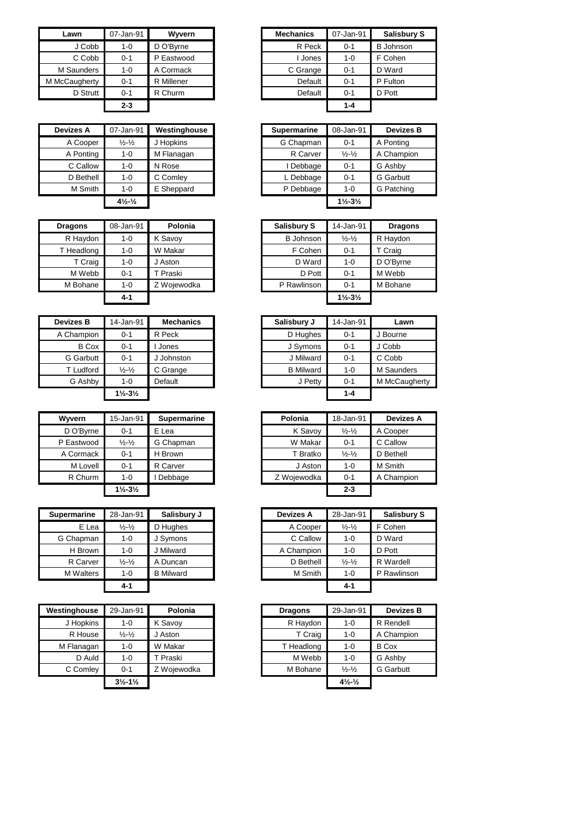| Lawn          | 07-Jan-91 | Wyvern     | <b>Mechanics</b> | 07-Jan-91 |
|---------------|-----------|------------|------------------|-----------|
| J Cobb        | $1 - 0$   | D O'Byrne  | R Peck           | $0 - 1$   |
| C Cobb        | $0 - 1$   | P Eastwood | I Jones          | $1 - 0$   |
| M Saunders    | $1 - 0$   | A Cormack  | C Grange         | $0 - 1$   |
| M McCaugherty | $0 - 1$   | R Millener | Default          | $0 - 1$   |
| D Strutt      | $0 - 1$   | R Churm    | Default          | $0 - 1$   |
|               | $2 - 3$   |            |                  | 1-4       |

| <b>Devizes A</b> | 07-Jan-91                                   | Westinghouse | <b>Supermarine</b> | 08-Jan-91                     | <b>Devizes B</b> |
|------------------|---------------------------------------------|--------------|--------------------|-------------------------------|------------------|
| A Cooper         | $\frac{1}{2} - \frac{1}{2}$                 | J Hopkins    | G Chapman          | $0 - 1$                       | A Ponting        |
| A Ponting        | 1-0                                         | M Flanagan   | R Carver           | $\frac{1}{2} - \frac{1}{2}$   | A Champion       |
| C Callow         | 1-0                                         | N Rose       | I Debbage          | $0 - 1$                       | G Ashby          |
| D Bethell        | $1 - 0$                                     | C Comley     | L Debbage          | $0 - 1$                       | <b>G</b> Garbutt |
| M Smith          | $1 - 0$                                     | E Sheppard   | P Debbage          | $1 - 0$                       | G Patching       |
|                  | $4\frac{1}{2}$ <sup>-1</sup> / <sub>2</sub> |              |                    | $1\frac{1}{2} - 3\frac{1}{2}$ |                  |

| <b>Dragons</b> | 08-Jan-91 | Polonia     | Salisbury S      | 14-Jan-91                     | <b>Dragons</b> |
|----------------|-----------|-------------|------------------|-------------------------------|----------------|
| R Haydon       | $1 - 0$   | K Savoy     | <b>B</b> Johnson | $\frac{1}{2} - \frac{1}{2}$   | R Haydon       |
| T Headlong     | $1 - 0$   | W Makar     | F Cohen          | $0 - 1$                       | T Craig        |
| T Craig        | $1 - 0$   | J Aston     | D Ward           | $1 - 0$                       | D O'Byrne      |
| M Webb         | $0 - 1$   | T Praski    | D Pott           | $0 - 1$                       | M Webb         |
| M Bohane       | $1 - 0$   | Z Wojewodka | P Rawlinson      | $0 - 1$                       | M Bohane       |
|                | 4-1       |             |                  | $1\frac{1}{2} - 3\frac{1}{2}$ |                |

| <b>Devizes B</b> | 14-Jan-91                     | <b>Mechanics</b> | Salisbury J      | 14-Jan-91 |
|------------------|-------------------------------|------------------|------------------|-----------|
| A Champion       | $0 - 1$                       | R Peck           | D Hughes         | $0 - 1$   |
| <b>B</b> Cox     | $0 - 1$                       | Jones            | J Symons         | $0 - 1$   |
| G Garbutt        | $0 - 1$                       | J Johnston       | J Milward        | $0 - 1$   |
| T Ludford        | $\frac{1}{2} - \frac{1}{2}$   | C Grange         | <b>B</b> Milward | $1 - 0$   |
| G Ashby          | $1 - 0$                       | Default          | J Petty          | $0 - 1$   |
|                  | $1\frac{1}{2} - 3\frac{1}{2}$ |                  |                  | $1 - 4$   |

| <b>Wyvern</b> | 15-Jan-91                     | <b>Supermarine</b> | Polonia     | 18-Jan-91                   | Devize    |
|---------------|-------------------------------|--------------------|-------------|-----------------------------|-----------|
| D O'Byrne     | $0 - 1$                       | E Lea              | K Savoy     | $\frac{1}{2} - \frac{1}{2}$ | A Cooper  |
| P Eastwood    | $\frac{1}{2} - \frac{1}{2}$   | G Chapman          | W Makar     | $0 - 1$                     | C Callow  |
| A Cormack     | $0 - 1$                       | H Brown            | T Bratko    | $\frac{1}{2} - \frac{1}{2}$ | D Bethell |
| M Lovell      | $0 - 1$                       | R Carver           | J Aston     | $1 - 0$                     | M Smith   |
| R Churm       | $1 - 0$                       | Debbage            | Z Wojewodka | $0 - 1$                     | A Champ   |
|               | $1\frac{1}{2} - 3\frac{1}{2}$ |                    |             | $2 - 3$                     |           |

| <b>Supermarine</b> | 28-Jan-91                   | Salisbury J      | <b>Devizes A</b> | 28-Jan-91                   | <b>Salisbury S</b> |
|--------------------|-----------------------------|------------------|------------------|-----------------------------|--------------------|
| E Lea              | $\frac{1}{2} - \frac{1}{2}$ | D Hughes         | A Cooper         | $\frac{1}{2} - \frac{1}{2}$ | F Cohen            |
| G Chapman          | $1 - 0$                     | J Symons         | C Callow         | $1 - 0$                     | D Ward             |
| H Brown            | 1-0                         | J Milward        | A Champion       | $1 - 0$                     | D Pott             |
| R Carver           | $\frac{1}{2} - \frac{1}{2}$ | A Duncan         | D Bethell        | $\frac{1}{2} - \frac{1}{2}$ | R Wardell          |
| <b>M</b> Walters   | 1-0                         | <b>B</b> Milward | M Smith          | $1 - 0$                     | P Rawlinson        |
|                    | 4-1                         |                  |                  | $4 - 1$                     |                    |

| Westinghouse | 29-Jan-91                     | Polonia     | <b>Dragons</b> | 29-Jan-91                                  |
|--------------|-------------------------------|-------------|----------------|--------------------------------------------|
| J Hopkins    | $1 - 0$                       | K Savoy     | R Haydon       | $1 - 0$                                    |
| R House      | $\frac{1}{2} - \frac{1}{2}$   | J Aston     | T Craig        | $1 - 0$                                    |
| M Flanagan   | $1 - 0$                       | W Makar     | T Headlong     | $1 - 0$                                    |
| D Auld       | $1 - 0$                       | T Praski    | M Webb         | $1 - 0$                                    |
| C Comley     | $O - 1$                       | Z Woiewodka | M Bohane       | $\frac{1}{2} - \frac{1}{2}$                |
|              | $3\frac{1}{2} - 1\frac{1}{2}$ |             |                | $4\frac{1}{2}$ <sup>1</sup> / <sub>2</sub> |

| Lawn       | 07-Jan-91 | Wyvern     | <b>Mechanics</b> | 07-Jan-91 | <b>Salisbury S</b> |
|------------|-----------|------------|------------------|-----------|--------------------|
| J Cobb     | $1 - 0$   | D O'Byrne  | R Peck           | $0 - 1$   | <b>B</b> Johnson   |
| C Cobb     | $0 - 1$   | P Eastwood | Jones            | $1 - 0$   | F Cohen            |
| Saunders   | $1 - 0$   | A Cormack  | C Grange         | $0 - 1$   | D Ward             |
| :Caugherty | $0 - 1$   | R Millener | Default          | $0 - 1$   | P Fulton           |
| D Strutt   | $0 - 1$   | R Churm    | Default          | $0 - 1$   | D Pott             |
|            | $2 - 3$   |            |                  | $1 - 4$   |                    |

| <i>r</i> izes A | 07-Jan-91                                  | Westinghouse | <b>Supermarine</b> | 08-Jan-91                     | <b>Devizes B</b> |
|-----------------|--------------------------------------------|--------------|--------------------|-------------------------------|------------------|
| A Cooper        | $\frac{1}{2} - \frac{1}{2}$                | J Hopkins    | G Chapman          | $0 - 1$                       | A Ponting        |
| A Ponting       | $1 - 0$                                    | M Flanagan   | R Carver           | $\frac{1}{2} - \frac{1}{2}$   | A Champion       |
| C Callow        | $1 - 0$                                    | N Rose       | Debbage            | $0 - 1$                       | G Ashby          |
| D Bethell       | $1 - 0$                                    | C Comley     | L Debbage          | $0 - 1$                       | <b>G</b> Garbutt |
| M Smith         | $1 - 0$                                    | E Sheppard   | P Debbage          | $1 - 0$                       | G Patching       |
|                 | $4\frac{1}{2}$ <sup>1</sup> / <sub>2</sub> |              |                    | $1\frac{1}{2} - 3\frac{1}{2}$ |                  |

| ons     | 08-Jan-91 | Polonia     | <b>Salisbury S</b> | 14-Jan-91                     | <b>Dragons</b> |
|---------|-----------|-------------|--------------------|-------------------------------|----------------|
| Haydon  | $1 - 0$   | K Savoy     | <b>B</b> Johnson   | $\frac{1}{2} - \frac{1}{2}$   | R Haydon       |
| adlong  | $1 - 0$   | W Makar     | F Cohen            | $0 - 1$                       | T Craig        |
| T Craig | $1 - 0$   | J Aston     | D Ward             | $1 - 0$                       | D O'Byrne      |
| l Webb  | $0 - 1$   | T Praski    | D Pott             | $0 - 1$                       | M Webb         |
| Bohane  | $1 - 0$   | Z Wojewodka | P Rawlinson        | $0 - 1$                       | M Bohane       |
|         | $4 - 1$   |             |                    | $1\frac{1}{2} - 3\frac{1}{2}$ |                |

| ⁄izes B      | 14-Jan-91                     | <b>Mechanics</b> | Salisbury J      | 14-Jan-91 | Lawn          |
|--------------|-------------------------------|------------------|------------------|-----------|---------------|
| Champion     | $0 - 1$                       | R Peck           | D Hughes         | $0 - 1$   | J Bourne      |
| <b>B</b> Cox | $0 - 1$                       | Jones            | J Symons         | $0 - 1$   | J Cobb        |
| G Garbutt    | $0 - 1$                       | Johnston         | J Milward        | $0 - 1$   | C Cobb        |
| T Ludford    | $\frac{1}{2} - \frac{1}{2}$   | C Grange         | <b>B</b> Milward | $1 - 0$   | M Saunders    |
| G Ashby      | $1 - 0$                       | Default          | J Petty          | $0 - 1$   | M McCaugherty |
|              | $1\frac{1}{2} - 3\frac{1}{2}$ |                  |                  | $1 - 4$   |               |

| Wyvern     | 15-Jan-91                     | <b>Supermarine</b> | Polonia     | 18-Jan-91                   | <b>Devizes A</b> |
|------------|-------------------------------|--------------------|-------------|-----------------------------|------------------|
| D O'Byrne  | $0 - 1$                       | E Lea              | K Savoy     | $\frac{1}{2} - \frac{1}{2}$ | A Cooper         |
| P Eastwood | $\frac{1}{2} - \frac{1}{2}$   | G Chapman          | W Makar     | $0 - 1$                     | C Callow         |
| A Cormack  | $0 - 1$                       | H Brown            | T Bratko    | $\frac{1}{2} - \frac{1}{2}$ | D Bethell        |
| M Lovell   | $0 - 1$                       | R Carver           | J Aston     | $1 - 0$                     | M Smith          |
| R Churm    | 1-0                           | Debbage            | Z Wojewodka | $0 - 1$                     | A Champion       |
|            | $1\frac{1}{2} - 3\frac{1}{2}$ |                    |             | $2 - 3$                     |                  |

|                             | Salisbury J      |           | <b>Devizes A</b> | 28-Jan-91                   | <b>Salisbury S</b> |
|-----------------------------|------------------|-----------|------------------|-----------------------------|--------------------|
| $\frac{1}{2} - \frac{1}{2}$ | D Hughes         |           | A Cooper         | $\frac{1}{2} - \frac{1}{2}$ | F Cohen            |
| $1 - 0$                     | J Symons         |           | C Callow         | $1 - 0$                     | D Ward             |
| $1 - 0$                     | J Milward        |           | A Champion       | $1 - 0$                     | D Pott             |
| $\frac{1}{2} - \frac{1}{2}$ | A Duncan         |           | D Bethell        | $\frac{1}{2} - \frac{1}{2}$ | R Wardell          |
| $1 - 0$                     | <b>B</b> Milward |           | M Smith          | $1 - 0$                     | P Rawlinson        |
| $4 - 1$                     |                  |           |                  | $4 - 1$                     |                    |
|                             |                  | 28-Jan-91 |                  |                             |                    |

| inghouse  | 29-Jan-91                     | Polonia     | <b>Dragons</b> | 29-Jan-91                                   | <b>Devizes B</b> |
|-----------|-------------------------------|-------------|----------------|---------------------------------------------|------------------|
| J Hopkins | $1 - 0$                       | K Savoy     | R Haydon       | $1 - 0$                                     | R Rendell        |
| R House   | $\frac{1}{2} - \frac{1}{2}$   | J Aston     | T Craig        | $1 - 0$                                     | A Champion       |
| Flanagan  | $1 - 0$                       | W Makar     | T Headlong     | $1 - 0$                                     | <b>B</b> Cox     |
| D Auld    | $1 - 0$                       | T Praski    | M Webb         | $1 - 0$                                     | G Ashby          |
| C Comley  | $0 - 1$                       | Z Woiewodka | M Bohane       | $\frac{1}{2} - \frac{1}{2}$                 | <b>G</b> Garbutt |
|           | $3\frac{1}{2} - 1\frac{1}{2}$ |             |                | $4\frac{1}{2}$ <sup>-1</sup> / <sub>2</sub> |                  |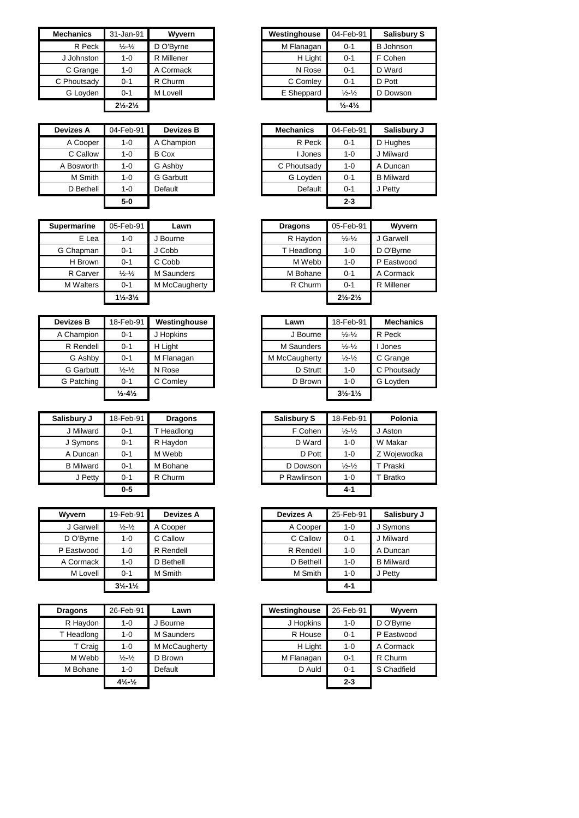| <b>Mechanics</b> | 31-Jan-91                     | Wyvern     | Westinghouse | 04-Feb-91                    |         |
|------------------|-------------------------------|------------|--------------|------------------------------|---------|
| R Peck           | $\frac{1}{2}$ - $\frac{1}{2}$ | D O'Byrne  | M Flanagan   | $0 - 1$                      | B Johns |
| J Johnston       | 1-0                           | R Millener | H Light      | $0 - 1$                      | F Cohen |
| C Grange         | 1-0                           | A Cormack  | N Rose       | $0 - 1$                      | D Ward  |
| C Phoutsady      | $0 - 1$                       | R Churm    | C Comley     | $0 - 1$                      | D Pott  |
| G Loyden         | $0 - 1$                       | M Lovell   | E Sheppard   | $\frac{1}{2} - \frac{1}{2}$  | D Dows  |
|                  | $2\frac{1}{2} - 2\frac{1}{2}$ |            |              | $\frac{1}{2} - 4\frac{1}{2}$ |         |

| <b>Devizes A</b> | 04-Feb-91 | <b>Devizes B</b> | <b>Mechanics</b> | 04-Feb-91 |
|------------------|-----------|------------------|------------------|-----------|
| A Cooper         | $1 - 0$   | A Champion       | R Peck           | $0 - 1$   |
| C Callow         | $1 - 0$   | <b>B</b> Cox     | I Jones          | $1 - 0$   |
| A Bosworth       | $1 - 0$   | G Ashby          | C Phoutsady      | $1 - 0$   |
| M Smith          | $1 - 0$   | <b>G</b> Garbutt | G Loyden         | $0 - 1$   |
| D Bethell        | $1 - 0$   | Default          | Default          | $0 - 1$   |
|                  | $5-0$     |                  |                  | $2 - 3$   |

| <b>Supermarine</b> | 05-Feb-91                     | Lawn          | <b>Dragons</b> | 05-Feb-91                     | Wyvern     |
|--------------------|-------------------------------|---------------|----------------|-------------------------------|------------|
| E Lea              | 1-0                           | J Bourne      | R Haydon       | $\frac{1}{2} - \frac{1}{2}$   | J Garwell  |
| G Chapman          | $0 - 1$                       | J Cobb        | T Headlong     | 1-0                           | D O'Byrne  |
| H Brown            | $0 - 1$                       | C Cobb        | M Webb         | 1-0                           | P Eastwood |
| R Carver           | $\frac{1}{2} - \frac{1}{2}$   | M Saunders    | M Bohane       | $0 - 1$                       | A Cormack  |
| <b>M</b> Walters   | $0 - 1$                       | M McCaugherty | R Churm        | $0 - 1$                       | R Millener |
|                    | $1\frac{1}{2} - 3\frac{1}{2}$ |               |                | $2\frac{1}{2} - 2\frac{1}{2}$ |            |

| <b>Devizes B</b> | 18-Feb-91                    | Westinghouse |
|------------------|------------------------------|--------------|
| A Champion       | $0 - 1$                      | J Hopkins    |
| R Rendell        | $0 - 1$                      | H Light      |
| G Ashby          | $0 - 1$                      | M Flanagan   |
| G Garbutt        | $\frac{1}{2} - \frac{1}{2}$  | N Rose       |
| G Patching       | $0 - 1$                      | C Comlev     |
|                  | $\frac{1}{2} - 4\frac{1}{2}$ |              |

| Salisbury J      | 18-Feb-91 | <b>Dragons</b> | Salisbury S | 18-Feb-91                   | Polonia    |
|------------------|-----------|----------------|-------------|-----------------------------|------------|
| J Milward        | $0 - 1$   | T Headlong     | F Cohen     | $\frac{1}{2} - \frac{1}{2}$ | J Aston    |
| J Symons         | $0 - 1$   | R Haydon       | D Ward      | $1 - 0$                     | W Makar    |
| A Duncan         | $0 - 1$   | M Webb         | D Pott      | $1 - 0$                     | Z Wojewodł |
| <b>B</b> Milward | $0 - 1$   | M Bohane       | D Dowson    | $\frac{1}{2} - \frac{1}{2}$ | T Praski   |
| J Petty          | $0 - 1$   | R Churm        | P Rawlinson | 1-0                         | T Bratko   |
|                  | $0 - 5$   |                |             | 4-1                         |            |

| Wyvern     | 19-Feb-91                     | <b>Devizes A</b> | <b>Devizes A</b> | 25-Feb-91 | Salisbu          |
|------------|-------------------------------|------------------|------------------|-----------|------------------|
| J Garwell  | $\frac{1}{2} - \frac{1}{2}$   | A Cooper         | A Cooper         | $1 - 0$   | J Symons         |
| D O'Byrne  | $1 - 0$                       | C Callow         | C Callow         | $0 - 1$   | J Milward        |
| P Eastwood | 1-0                           | R Rendell        | R Rendell        | $1 - 0$   | A Duncan         |
| A Cormack  | $1 - 0$                       | D Bethell        | D Bethell        | $1 - 0$   | <b>B</b> Milward |
| M Lovell   | $0 - 1$                       | M Smith          | M Smith          | $1 - 0$   | J Petty          |
|            | $3\frac{1}{2} - 1\frac{1}{2}$ |                  |                  | $4 - 1$   |                  |

| <b>Dragons</b> | 26-Feb-91                                   | Lawn          | Westinghouse | 26-Feb-91 |
|----------------|---------------------------------------------|---------------|--------------|-----------|
| R Haydon       | $1 - 0$                                     | J Bourne      | J Hopkins    | $1 - 0$   |
| T Headlong     | $1 - 0$                                     | M Saunders    | R House      | $0 - 1$   |
| T Craig        | $1 - 0$                                     | M McCaugherty | H Light      | $1 - 0$   |
| M Webb         | $\frac{1}{2}$ - $\frac{1}{2}$               | D Brown       | M Flanagan   | $0 - 1$   |
| M Bohane       | 1-0                                         | Default       | D Auld       | $0 - 1$   |
|                | $4\frac{1}{2}$ <sup>-1</sup> / <sub>2</sub> |               |              | $2 - 3$   |

| Mechanics   | 31-Jan-91                     | Wyvern     |
|-------------|-------------------------------|------------|
| R Peck      | $\frac{1}{2} - \frac{1}{2}$   | D O'Bvrne  |
| J Johnston  | $1 - 0$                       | R Millener |
| C Grange    | $1 - 0$                       | A Cormack  |
| C Phoutsady | $0 - 1$                       | R Churm    |
| G Loyden    | $0 - 1$                       | M Lovell   |
|             | $2\frac{1}{2} - 2\frac{1}{2}$ |            |

| Devizes A  | 04-Feb-91 | <b>Devizes B</b> | <b>Mechanics</b> | 04-Feb-91 | Salisbury J      |
|------------|-----------|------------------|------------------|-----------|------------------|
| A Cooper   | $1 - 0$   | A Champion       | R Peck           | $0 - 1$   | D Hughes         |
| C Callow   | $1 - 0$   | <b>B</b> Cox     | Jones            | $1 - 0$   | J Milward        |
| A Bosworth | $1 - 0$   | G Ashby          | C Phoutsady      | $1 - 0$   | A Duncan         |
| M Smith    | $1 - 0$   | <b>G</b> Garbutt | G Loyden         | $0 - 1$   | <b>B</b> Milward |
| D Bethell  | $1 - 0$   | Default          | Default          | $0 - 1$   | J Petty          |
|            | $5-0$     |                  |                  | $2 - 3$   |                  |

| rmarine   | 05-Feb-91                     | Lawn          | <b>Dragons</b> | 05-Feb-91                     | Wyvern     |
|-----------|-------------------------------|---------------|----------------|-------------------------------|------------|
| E Lea     | $1 - 0$                       | Bourne        | R Haydon       | $\frac{1}{2} - \frac{1}{2}$   | J Garwell  |
| Chapman   | $0 - 1$                       | J Cobb        | T Headlong     | $1 - 0$                       | D O'Bvrne  |
| H Brown   | $0 - 1$                       | C Cobb        | M Webb         | $1 - 0$                       | P Eastwood |
| R Carver  | $\frac{1}{2} - \frac{1}{2}$   | M Saunders    | M Bohane       | $0 - 1$                       | A Cormack  |
| 1 Walters | $0 - 1$                       | M McCaugherty | R Churm        | $0 - 1$                       | R Millener |
|           | $1\frac{1}{2} - 3\frac{1}{2}$ |               |                | $2\frac{1}{2} - 2\frac{1}{2}$ |            |

| vizes B   | 18-Feb-91                    | Westinghouse | Lawn          | 18-Feb-91                     | <b>Mechanics</b> |
|-----------|------------------------------|--------------|---------------|-------------------------------|------------------|
| Champion  | $0 - 1$                      | J Hopkins    | J Bourne      | $\frac{1}{2} - \frac{1}{2}$   | R Peck           |
| R Rendell | $0 - 1$                      | H Light      | M Saunders    | $\frac{1}{2} - \frac{1}{2}$   | Jones            |
| G Ashby   | $0 - 1$                      | M Flanagan   | M McCaugherty | $\frac{1}{2} - \frac{1}{2}$   | C Grange         |
| G Garbutt | $\frac{1}{2} - \frac{1}{2}$  | N Rose       | D Strutt      | $1 - 0$                       | C Phoutsady      |
| Fatching  | $0 - 1$                      | C Comley     | D Brown       | $1 - 0$                       | G Loyden         |
|           | $\frac{1}{2} - 4\frac{1}{2}$ |              |               | $3\frac{1}{2} - 1\frac{1}{2}$ |                  |

| sbury J          | 18-Feb-91 | <b>Dragons</b> | <b>Salisbury S</b> | 18-Feb-91                   | Polonia     |
|------------------|-----------|----------------|--------------------|-----------------------------|-------------|
| J Milward        | $0 - 1$   | T Headlong     | F Cohen            | $\frac{1}{2} - \frac{1}{2}$ | J Aston     |
| J Symons         | $0 - 1$   | R Haydon       | D Ward             | $1 - 0$                     | W Makar     |
| A Duncan         | $0 - 1$   | M Webb         | D Pott             | $1 - 0$                     | Z Wojewodka |
| <b>B</b> Milward | $0 - 1$   | M Bohane       | D Dowson           | $\frac{1}{2} - \frac{1}{2}$ | T Praski    |
| J Petty          | $0 - 1$   | R Churm        | P Rawlinson        | $1 - 0$                     | T Bratko    |
|                  | $0 - 5$   |                |                    | $4 - 1$                     |             |

| Wvvern     | 19-Feb-91                     | <b>Devizes A</b> | <b>Devizes A</b> | 25-Feb-91 | Salisbury J      |
|------------|-------------------------------|------------------|------------------|-----------|------------------|
| J Garwell  | $\frac{1}{2} - \frac{1}{2}$   | A Cooper         | A Cooper         | $1 - 0$   | J Symons         |
| D O'Byrne  | $1 - 0$                       | C Callow         | C Callow         | $0 - 1$   | J Milward        |
| P Eastwood | $1 - 0$                       | R Rendell        | R Rendell        | $1 - 0$   | A Duncan         |
| A Cormack  | $1 - 0$                       | D Bethell        | D Bethell        | $1 - 0$   | <b>B</b> Milward |
| M Lovell   | $0 - 1$                       | M Smith          | M Smith          | $1 - 0$   | J Petty          |
|            | $3\frac{1}{2} - 1\frac{1}{2}$ |                  |                  | $4 - 1$   |                  |

| )raqons    | 26-Feb-91                                   | awn.          |
|------------|---------------------------------------------|---------------|
| R Haydon   | 1-0                                         | J Bourne      |
| T Headlong | 1-0                                         | M Saunders    |
| T Craig    | 1-0                                         | M McCaugherty |
| M Webb     | $\frac{1}{2} - \frac{1}{2}$                 | D Brown       |
| M Bohane   | 1-0                                         | Default       |
|            | $4\frac{1}{2}$ <sup>-1</sup> / <sub>2</sub> |               |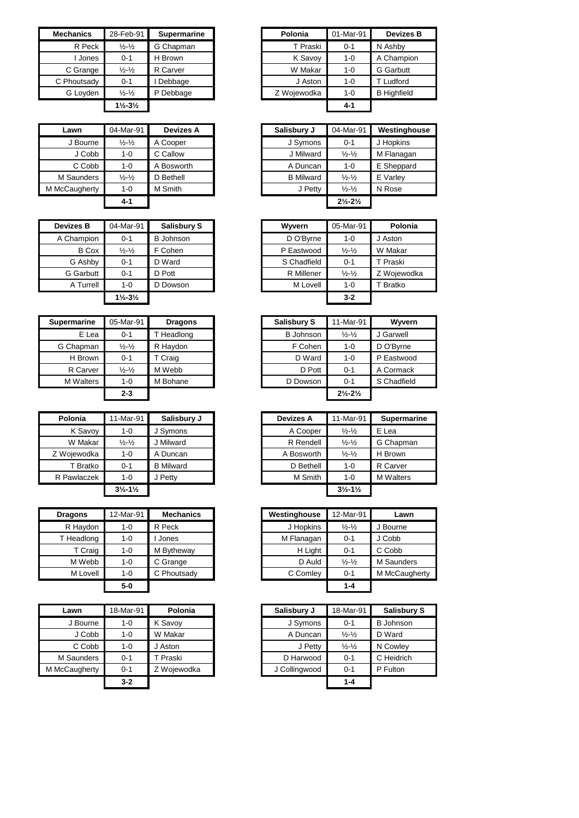| <b>Mechanics</b> | 28-Feb-91                     | <b>Supermarine</b> | Polonia     | 01-Mar-91 |
|------------------|-------------------------------|--------------------|-------------|-----------|
| R Peck           | $\frac{1}{2}$ - $\frac{1}{2}$ | G Chapman          | T Praski    | $0 - 1$   |
| Jones            | $0 - 1$                       | H Brown            | K Savoy     | $1 - 0$   |
| C Grange         | $\frac{1}{2} - \frac{1}{2}$   | R Carver           | W Makar     | $1 - 0$   |
| C Phoutsady      | $0 - 1$                       | Debbage            | J Aston     | $1 - 0$   |
| G Loyden         | $\frac{1}{2} - \frac{1}{2}$   | P Debbage          | Z Woiewodka | $1 - 0$   |
|                  | $1\frac{1}{2} - 3\frac{1}{2}$ |                    |             | $4 - 1$   |

| Lawn          | 04-Mar-91                   | <b>Devizes A</b> |
|---------------|-----------------------------|------------------|
| J Bourne      | $\frac{1}{2} - \frac{1}{2}$ | A Cooper         |
| J Cobb        | $1 - 0$                     | C Callow         |
| C Cobb        | $1 - 0$                     | A Bosworth       |
| M Saunders    | $\frac{1}{2} - \frac{1}{2}$ | D Bethell        |
| M McCaugherty | $1 - 0$                     | M Smith          |
|               | $4 - 1$                     |                  |

| <b>Devizes B</b> | 04-Mar-91                     | <b>Salisbury S</b> | Wyvern      | 05-Mar-91                   |
|------------------|-------------------------------|--------------------|-------------|-----------------------------|
| A Champion       | $0 - 1$                       | <b>B</b> Johnson   | D O'Byrne   | $1 - 0$                     |
| <b>B</b> Cox     | $\frac{1}{2} - \frac{1}{2}$   | F Cohen            | P Eastwood  | $\frac{1}{2} - \frac{1}{2}$ |
| G Ashby          | $0 - 1$                       | D Ward             | S Chadfield | $0 - 1$                     |
| G Garbutt        | $0 - 1$                       | D Pott             | R Millener  | $\frac{1}{2} - \frac{1}{2}$ |
| A Turrell        | $1 - 0$                       | D Dowson           | M Lovell    | $1 - 0$                     |
|                  | $1\frac{1}{2} - 3\frac{1}{2}$ |                    |             | $3 - 2$                     |

| <b>Supermarine</b> | 05-Mar-91                   | <b>Dragons</b> | Salisbury S      | 11-Mar-91                       |             |
|--------------------|-----------------------------|----------------|------------------|---------------------------------|-------------|
| E Lea              | $0 - 1$                     | Headlong       | <b>B</b> Johnson | $\frac{1}{2} - \frac{1}{2}$     | J Garwell   |
| G Chapman          | $\frac{1}{2} - \frac{1}{2}$ | R Haydon       | F Cohen          | $1 - 0$                         | D O'Byrne   |
| H Brown            | 0-1                         | T Craig        | D Ward           | $1 - 0$                         | P Eastwood  |
| R Carver           | $\frac{1}{2} - \frac{1}{2}$ | M Webb         | D Pott           | $0 - 1$                         | A Cormack   |
| <b>M</b> Walters   | $1 - 0$                     | M Bohane       | D Dowson         | $0 - 1$                         | S Chadfield |
|                    | $2 - 3$                     |                |                  | $2\frac{1}{2}$ -2 $\frac{1}{2}$ |             |

| Polonia     | 11-Mar-91                     | Salisbury J      | <b>Devizes A</b> | 11-Mar-91                     | <b>Superm:</b>   |
|-------------|-------------------------------|------------------|------------------|-------------------------------|------------------|
| K Savoy     | 1-0                           | J Symons         | A Cooper         | $\frac{1}{2} - \frac{1}{2}$   | E Lea            |
| W Makar     | $\frac{1}{2}$ - $\frac{1}{2}$ | Milward          | R Rendell        | $\frac{1}{2} - \frac{1}{2}$   | G Chapma         |
| Z Wojewodka | 1-0                           | A Duncan         | A Bosworth       | $\frac{1}{2} - \frac{1}{2}$   | H Brown          |
| T Bratko    | $0 - 1$                       | <b>B</b> Milward | D Bethell        | $1 - 0$                       | R Carver         |
| R Pawlaczek | $1 - 0$                       | Petty            | M Smith          | $1 - 0$                       | <b>M</b> Walters |
|             | $3\frac{1}{2} - 1\frac{1}{2}$ |                  |                  | $3\frac{1}{2} - 1\frac{1}{2}$ |                  |

| <b>Dragons</b> | 12-Mar-91 | <b>Mechanics</b> | Westinghouse | 12-Mar-91                   | Lawn      |
|----------------|-----------|------------------|--------------|-----------------------------|-----------|
| R Haydon       | $1 - 0$   | R Peck           | J Hopkins    | $\frac{1}{2} - \frac{1}{2}$ | J Bourne  |
| T Headlong     | $1 - 0$   | Jones            | M Flanagan   | $0 - 1$                     | J Cobb    |
| T Craig        | 1-0       | M Bytheway       | H Light      | $0 - 1$                     | C Cobb    |
| M Webb         | $1 - 0$   | C Grange         | D Auld       | $\frac{1}{2} - \frac{1}{2}$ | M Saunder |
| M Lovell       | $1 - 0$   | C Phoutsady      | C Comley     | $0 - 1$                     | M McCaug  |
|                | $5-0$     |                  |              | $1 - 4$                     |           |

| Lawn          | 18-Mar-91 | Polonia     |
|---------------|-----------|-------------|
| J Bourne      | $1 - 0$   | K Savoy     |
| J Cobb        | $1 - 0$   | W Makar     |
| C Cobb        | $1 - 0$   | l Aston     |
| M Saunders    | $0 - 1$   | T Praski    |
| M McCaugherty | $0 - 1$   | Z Woiewodka |
|               | $3 - 2$   |             |

| Mechanics   | 28-Feb-91                     | <b>Supermarine</b> | Polonia     | 01-Mar-91 |
|-------------|-------------------------------|--------------------|-------------|-----------|
| R Peck      | $\frac{1}{2} - \frac{1}{2}$   | G Chapman          | T Praski    | $0 - 1$   |
| Jones       | $0 - 1$                       | H Brown            | K Savoy     | $1 - 0$   |
| C Grange    | $\frac{1}{2} - \frac{1}{2}$   | R Carver           | W Makar     | $1 - 0$   |
| C Phoutsady | $0 - 1$                       | Debbage            | J Aston     | $1 - 0$   |
| G Loyden    | $\frac{1}{2} - \frac{1}{2}$   | P Debbage          | Z Wojewodka | $1 - 0$   |
|             | $1\frac{1}{2} - 3\frac{1}{2}$ |                    |             | $4 - 1$   |
|             |                               |                    |             |           |

| Lawn       | 04-Mar-91                   | <b>Devizes A</b> |
|------------|-----------------------------|------------------|
| J Bourne   | $\frac{1}{2} - \frac{1}{2}$ | A Cooper         |
| J Cobb     | $1 - 0$                     | C Callow         |
| C Cobb     | $1 - 0$                     | A Bosworth       |
| 1 Saunders | $\frac{1}{2} - \frac{1}{2}$ | D Bethell        |
| :Caugherty | $1 - 0$                     | M Smith          |
|            | $4 - 1$                     |                  |

| vizes B      | 04-Mar-91                     | Salisbury S      | Wyvern      | 05-Mar-91                   | Polonia     |
|--------------|-------------------------------|------------------|-------------|-----------------------------|-------------|
| Champion     | $0 - 1$                       | <b>B</b> Johnson | D O'Byrne   | $1 - 0$                     | J Aston     |
| <b>B</b> Cox | $\frac{1}{2} - \frac{1}{2}$   | F Cohen          | P Eastwood  | $\frac{1}{2} - \frac{1}{2}$ | W Makar     |
| G Ashby      | $0 - 1$                       | D Ward           | S Chadfield | $0 - 1$                     | T Praski    |
| G Garbutt    | $0 - 1$                       | D Pott           | R Millener  | $\frac{1}{2} - \frac{1}{2}$ | Z Woiewodka |
| A Turrell    | $1 - 0$                       | D Dowson         | M Lovell    | $1 - 0$                     | T Bratko    |
|              | $1\frac{1}{2} - 3\frac{1}{2}$ |                  |             | $3 - 2$                     |             |

| ermarine  | 05-Mar-91                   | <b>Dragons</b> | <b>Salisbury S</b> | 11-Mar-91                     | Wyvern      |
|-----------|-----------------------------|----------------|--------------------|-------------------------------|-------------|
| E Lea     | $0 - 1$                     | T Headlong     | <b>B</b> Johnson   | $\frac{1}{2} - \frac{1}{2}$   | J Garwell   |
| Chapman   | $\frac{1}{2} - \frac{1}{2}$ | R Haydon       | F Cohen            | $1 - 0$                       | D O'Byrne   |
| H Brown   | $0 - 1$                     | T Craig        | D Ward             | $1 - 0$                       | P Eastwood  |
| R Carver  | $\frac{1}{2} - \frac{1}{2}$ | M Webb         | D Pott             | $0 - 1$                       | A Cormack   |
| M Walters | $1 - 0$                     | M Bohane       | D Dowson           | $0 - 1$                       | S Chadfield |
|           | $2 - 3$                     |                |                    | $2\frac{1}{2} - 2\frac{1}{2}$ |             |

| Polonia   | 11-Mar-91                     | Salisbury J      | <b>Devizes A</b> | 11-Mar-91                     | <b>Supermarine</b> |
|-----------|-------------------------------|------------------|------------------|-------------------------------|--------------------|
| K Savoy   | 1-0                           | J Symons         | A Cooper         | $\frac{1}{2} - \frac{1}{2}$   | E Lea              |
| W Makar   | $\frac{1}{2}$ - $\frac{1}{2}$ | J Milward        | R Rendell        | $\frac{1}{2} - \frac{1}{2}$   | G Chapman          |
| Wojewodka | 1-0                           | A Duncan         | A Bosworth       | $\frac{1}{2} - \frac{1}{2}$   | H Brown            |
| T Bratko  | $0 - 1$                       | <b>B</b> Milward | D Bethell        | $1 - 0$                       | R Carver           |
| Pawlaczek | 1-0                           | J Petty          | M Smith          | $1 - 0$                       | <b>M</b> Walters   |
|           | $3\frac{1}{2} - 1\frac{1}{2}$ |                  |                  | $3\frac{1}{2} - 1\frac{1}{2}$ |                    |

| aons     | 12-Mar-91 | <b>Mechanics</b> | Westinghouse | 12-Mar-91                   | Lawn          |
|----------|-----------|------------------|--------------|-----------------------------|---------------|
| Haydon   | 1-0       | R Peck           | J Hopkins    | $\frac{1}{2} - \frac{1}{2}$ | J Bourne      |
| leadlong | 1-0       | Jones            | M Flanagan   | $0 - 1$                     | J Cobb        |
| T Craig  | 1-0       | M Bytheway       | H Light      | $0 - 1$                     | C Cobb        |
| M Webb   | 1-0       | C Grange         | D Auld       | $\frac{1}{2} - \frac{1}{2}$ | M Saunders    |
| M Lovell | $1 - 0$   | C Phoutsady      | C Comley     | $0 - 1$                     | M McCaugherty |
|          | 5-0       |                  |              | $1 - 4$                     |               |

| Lawn       | 18-Mar-91 | Polonia     | Salisbury J |               | 18-Mar-91                   | <b>Salisbury S</b> |
|------------|-----------|-------------|-------------|---------------|-----------------------------|--------------------|
| J Bourne   | $1 - 0$   | K Savoy     |             | J Symons      | $0 - 1$                     | <b>B</b> Johnson   |
| J Cobb     | $1 - 0$   | W Makar     |             | A Duncan      | $\frac{1}{2} - \frac{1}{2}$ | D Ward             |
| C Cobb     | $1 - 0$   | J Aston     |             | J Petty       | $\frac{1}{2} - \frac{1}{2}$ | N Cowley           |
| Saunders   | $0 - 1$   | T Praski    |             | D Harwood     | $0 - 1$                     | C Heidrich         |
| :Caugherty | $0 - 1$   | Z Wojewodka |             | J Collingwood | $0 - 1$                     | P Fulton           |
|            | $3 - 2$   |             |             |               | $1 - 4$                     |                    |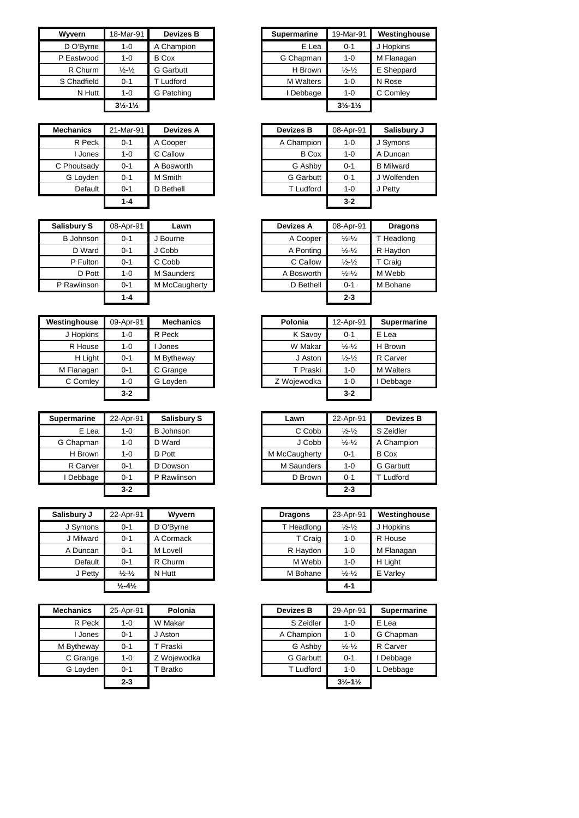| Wyvern      | 18-Mar-91                     | <b>Devizes B</b> | <b>Supermarine</b> | 19-Mar-91                     | Westingho  |
|-------------|-------------------------------|------------------|--------------------|-------------------------------|------------|
| D O'Byrne   | $1 - 0$                       | A Champion       | E Lea              | $0 - 1$                       | J Hopkins  |
| P Eastwood  | $1 - 0$                       | <b>B</b> Cox     | G Chapman          | $1 - 0$                       | M Flanagan |
| R Churm     | $\frac{1}{2} - \frac{1}{2}$   | <b>G</b> Garbutt | H Brown            | $\frac{1}{2} - \frac{1}{2}$   | E Sheppard |
| S Chadfield | $0 - 1$                       | Ludford          | <b>M</b> Walters   | $1 - 0$                       | N Rose     |
| N Hutt      | $1 - 0$                       | G Patching       | Debbage            | $1 - 0$                       | C Comley   |
|             | $3\frac{1}{2} - 1\frac{1}{2}$ |                  |                    | $3\frac{1}{2} - 1\frac{1}{2}$ |            |

| <b>Mechanics</b> | 21-Mar-91 | <b>Devizes A</b> | <b>Devizes B</b> | 08-Apr-91 |
|------------------|-----------|------------------|------------------|-----------|
| R Peck           | $0 - 1$   | A Cooper         | A Champion       | $1 - 0$   |
| l Jones          | $1 - 0$   | C Callow         | <b>B</b> Cox     | $1 - 0$   |
| C Phoutsady      | $0 - 1$   | A Bosworth       | G Ashby          | $0 - 1$   |
| G Loyden         | $0 - 1$   | M Smith          | <b>G</b> Garbutt | $0 - 1$   |
| Default          | $0 - 1$   | D Bethell        | T Ludford        | $1 - 0$   |
|                  | $1 - 4$   |                  |                  | $3 - 2$   |

| <b>Salisbury S</b> | 08-Apr-91 | Lawn          | Devizes A  | 08-Apr-91                   |
|--------------------|-----------|---------------|------------|-----------------------------|
| <b>B</b> Johnson   | $0 - 1$   | J Bourne      | A Cooper   | $\frac{1}{2} - \frac{1}{2}$ |
| D Ward             | $0 - 1$   | J Cobb        | A Ponting  | $\frac{1}{2} - \frac{1}{2}$ |
| P Fulton           | $0 - 1$   | C Cobb        | C Callow   | $\frac{1}{2} - \frac{1}{2}$ |
| D Pott             | $1 - 0$   | M Saunders    | A Bosworth | $\frac{1}{2} - \frac{1}{2}$ |
| P Rawlinson        | $0 - 1$   | M McCaugherty | D Bethell  | $0 - 1$                     |
|                    | 1-4       |               |            | $2 - 3$                     |

| Westinghouse | 09-Apr-91 | <b>Mechanics</b> |
|--------------|-----------|------------------|
| J Hopkins    | $1 - 0$   | R Peck           |
| R House      | $1-0$     | Jones            |
| H Light      | $0 - 1$   | M Bytheway       |
| M Flanagan   | $0 - 1$   | C Grange         |
| C Comley     | $1-0$     | G Loyden         |
|              | $3-2$     |                  |

| <b>Supermarine</b> | 22-Apr-91 | Salisbury S      | Lawn              | 22-Apr-91                   |
|--------------------|-----------|------------------|-------------------|-----------------------------|
| E Lea              | 1-0       | <b>B</b> Johnson | C Cobb            | $\frac{1}{2} - \frac{1}{2}$ |
| G Chapman          | 1-0       | D Ward           | J Cobb            | $\frac{1}{2} - \frac{1}{2}$ |
| H Brown            | 1-0       | D Pott           | M McCaugherty     | $0 - 1$                     |
| R Carver           | $0 - 1$   | D Dowson         | <b>M</b> Saunders | $1 - 0$                     |
| Debbage            | $0 - 1$   | P Rawlinson      | D Brown           | $0 - 1$                     |
|                    | $3 - 2$   |                  |                   | $2 - 3$                     |

| Salisbury J | 22-Apr-91                    | Wyvern    | <b>Dragons</b> | 23-Apr-91                   | Westing  |
|-------------|------------------------------|-----------|----------------|-----------------------------|----------|
| J Symons    | $0 - 1$                      | D O'Byrne | T Headlong     | $\frac{1}{2} - \frac{1}{2}$ | J Hopkin |
| J Milward   | $0 - 1$                      | A Cormack | T Craig        | $1 - 0$                     | R House  |
| A Duncan    | $0 - 1$                      | M Lovell  | R Haydon       | $1 - 0$                     | M Flana  |
| Default     | $0 - 1$                      | R Churm   | M Webb         | $1 - 0$                     | H Light  |
| J Petty     | $\frac{1}{2} - \frac{1}{2}$  | N Hutt    | M Bohane       | $\frac{1}{2} - \frac{1}{2}$ | E Varley |
|             | $\frac{1}{2} - 4\frac{1}{2}$ |           |                | $4-1$                       |          |

| <b>Mechanics</b> | 25-Apr-91 | Polonia     | <b>Devizes B</b> | 29-Apr-91                     | Supern   |
|------------------|-----------|-------------|------------------|-------------------------------|----------|
| R Peck           | $1 - 0$   | W Makar     | S Zeidler        | $1 - 0$                       | E Lea    |
| Jones            | $0 - 1$   | J Aston     | A Champion       | $1 - 0$                       | G Chapn  |
| M Bytheway       | $0 - 1$   | T Praski    | G Ashby          | $\frac{1}{2} - \frac{1}{2}$   | R Carver |
| C Grange         | $1 - 0$   | Z Wojewodka | <b>G</b> Garbutt | $0 - 1$                       | Debbac   |
| G Loyden         | $0 - 1$   | Bratko      | T Ludford        | $1 - 0$                       | L Debba  |
|                  | $2 - 3$   |             |                  | $3\frac{1}{2} - 1\frac{1}{2}$ |          |

| Wvvern      | 18-Mar-91                     | <b>Devizes B</b> | <b>Supermarine</b> | 19-Mar-91                     | Westinghouse |
|-------------|-------------------------------|------------------|--------------------|-------------------------------|--------------|
| D O'Byrne   | $1 - 0$                       | A Champion       | E Lea              | $0 - 1$                       | J Hopkins    |
| P Eastwood  | $1 - 0$                       | <b>B</b> Cox     | G Chapman          | $1 - 0$                       | M Flanagan   |
| R Churm     | $\frac{1}{2} - \frac{1}{2}$   | <b>G</b> Garbutt | H Brown            | $\frac{1}{2} - \frac{1}{2}$   | E Sheppard   |
| S Chadfield | $0 - 1$                       | Ludford          | <b>M</b> Walters   | $1 - 0$                       | N Rose       |
| N Hutt      | $1 - 0$                       | G Patching       | I Debbage          | $1 - 0$                       | C Comley     |
|             | $3\frac{1}{2} - 1\frac{1}{2}$ |                  |                    | $3\frac{1}{2} - 1\frac{1}{2}$ |              |
|             |                               |                  |                    |                               |              |

|         | Devizes A  |           | <b>Devizes B</b> | 08-Apr-91 | Salisbury J      |
|---------|------------|-----------|------------------|-----------|------------------|
| $0 - 1$ | A Cooper   |           | A Champion       | $1 - 0$   | J Symons         |
| 1-0     | C Callow   |           | <b>B</b> Cox     | $1 - 0$   | A Duncan         |
| $0 - 1$ | A Bosworth |           | G Ashby          | $0 - 1$   | <b>B</b> Milward |
| $0 - 1$ | M Smith    |           | G Garbutt        | $0 - 1$   | J Wolfenden      |
| $0 - 1$ | D Bethell  |           | T Ludford        | $1 - 0$   | J Petty          |
| $1 - 4$ |            |           |                  | $3 - 2$   |                  |
|         |            | 21-Mar-91 |                  |           |                  |

| isbury S  | 08-Apr-91 | Lawn          | <b>Devizes A</b> | 08-Apr-91                   | <b>Dragons</b> |
|-----------|-----------|---------------|------------------|-----------------------------|----------------|
| B Johnson | $0 - 1$   | J Bourne      | A Cooper         | $\frac{1}{2} - \frac{1}{2}$ | T Headlong     |
| D Ward    | $0 - 1$   | J Cobb        | A Ponting        | $\frac{1}{2} - \frac{1}{2}$ | R Haydon       |
| P Fulton  | $0 - 1$   | C Cobb        | C Callow         | $\frac{1}{2} - \frac{1}{2}$ | T Craig        |
| D Pott    | $1 - 0$   | M Saunders    | A Bosworth       | $\frac{1}{2} - \frac{1}{2}$ | M Webb         |
| Rawlinson | $0 - 1$   | M McCaugherty | D Bethell        | $0 - 1$                     | M Bohane       |
|           | $1 - 4$   |               |                  | $2 - 3$                     |                |

| inghouse  | 09-Apr-91 | <b>Mechanics</b> | Polonia     | 12-Apr-91                   | <b>Supermarine</b> |
|-----------|-----------|------------------|-------------|-----------------------------|--------------------|
| J Hopkins | 1-0       | R Peck           | K Savoy     | $0 - 1$                     | E Lea              |
| R House   | 1-0       | Jones            | W Makar     | $\frac{1}{2} - \frac{1}{2}$ | H Brown            |
| H Light   | $0 - 1$   | M Bytheway       | J Aston     | $\frac{1}{2} - \frac{1}{2}$ | R Carver           |
| Flanagan  | $0 - 1$   | C Grange         | T Praski    | $1 - 0$                     | <b>M</b> Walters   |
| C Comlev  | $1 - 0$   | G Loyden         | Z Wojewodka | $1 - 0$                     | Debbage            |
|           | $3 - 2$   |                  |             | $3 - 2$                     |                    |

| permarine | 22-Apr-91 | Salisbury S      | Lawn              | 22-Apr-91                   | <b>Devizes B</b> |
|-----------|-----------|------------------|-------------------|-----------------------------|------------------|
| E Lea     | $1 - 0$   | <b>B</b> Johnson | C Cobb            | $\frac{1}{2} - \frac{1}{2}$ | S Zeidler        |
| G Chapman | $1 - 0$   | D Ward           | J Cobb            | $\frac{1}{2} - \frac{1}{2}$ | A Champion       |
| H Brown   | $1 - 0$   | D Pott           | M McCaugherty     | $0 - 1$                     | <b>B</b> Cox     |
| R Carver  | $0 - 1$   | D Dowson         | <b>M</b> Saunders | 1-0                         | <b>G</b> Garbutt |
| I Debbage | $0 - 1$   | P Rawlinson      | D Brown           | $0 - 1$                     | Ludford          |
|           | $3 - 2$   |                  |                   | $2 - 3$                     |                  |

| Salisbury J | 22-Apr-91                    | <b>Wyvern</b> | <b>Dragons</b> | 23-Apr-91                   | Westinghouse |
|-------------|------------------------------|---------------|----------------|-----------------------------|--------------|
| J Symons    | $0 - 1$                      | D O'Byrne     | T Headlong     | $\frac{1}{2} - \frac{1}{2}$ | J Hopkins    |
| J Milward   | $0 - 1$                      | A Cormack     | T Craig        | $1 - 0$                     | R House      |
| A Duncan    | $0 - 1$                      | M Lovell      | R Haydon       | $1 - 0$                     | M Flanagan   |
| Default     | $0 - 1$                      | R Churm       | M Webb         | $1 - 0$                     | H Light      |
| J Petty     | $\frac{1}{2} - \frac{1}{2}$  | N Hutt        | M Bohane       | $\frac{1}{2} - \frac{1}{2}$ | E Varley     |
|             | $\frac{1}{2} - 4\frac{1}{2}$ |               |                | 4-1                         |              |

| Mechanics  | 25-Apr-91 | Polonia     | <b>Devizes B</b> | 29-Apr-91                     | <b>Supermarine</b> |
|------------|-----------|-------------|------------------|-------------------------------|--------------------|
| R Peck     | 1-0       | W Makar     | S Zeidler        | $1 - 0$                       | E Lea              |
| Jones      | $0 - 1$   | J Aston     | A Champion       | $1 - 0$                       | G Chapman          |
| M Bytheway | $0 - 1$   | T Praski    | G Ashby          | $\frac{1}{2} - \frac{1}{2}$   | R Carver           |
| C Grange   | 1-0       | Z Woiewodka | G Garbutt        | $0 - 1$                       | Debbage            |
| G Loyden   | $0 - 1$   | Bratko      | <b>T</b> Ludford | $1 - 0$                       | L Debbage          |
|            | $2 - 3$   |             |                  | $3\frac{1}{2} - 1\frac{1}{2}$ |                    |